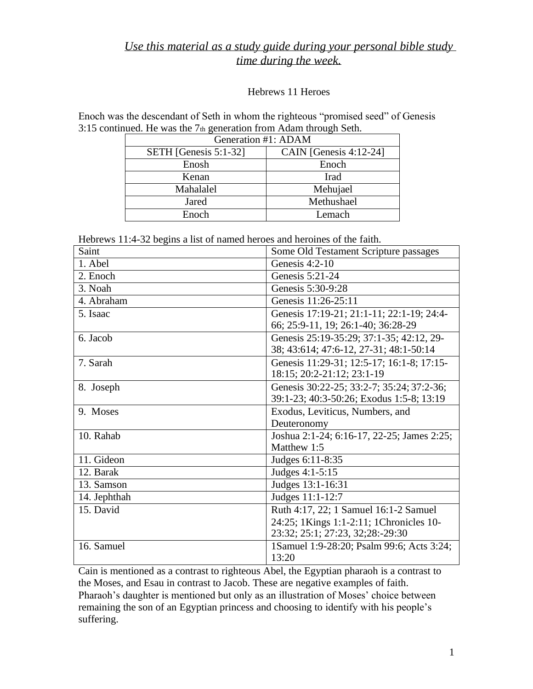## *Use this material as a study guide during your personal bible study time during the week.*

## Hebrews 11 Heroes

Enoch was the descendant of Seth in whom the righteous "promised seed" of Genesis 3:15 continued. He was the 7th generation from Adam through Seth.

| Generation #1: ADAM   |                           |
|-----------------------|---------------------------|
| SETH [Genesis 5:1-32] | CAIN [Genesis $4:12-24$ ] |
| Enosh                 | Enoch                     |
| Kenan                 | Irad                      |
| Mahalalel             | Mehujael                  |
| Jared                 | Methushael                |
| Enoch                 | Lemach                    |

Hebrews 11:4-32 begins a list of named heroes and heroines of the faith.

| Saint        | Some Old Testament Scripture passages      |
|--------------|--------------------------------------------|
| 1. Abel      | Genesis $4:2-10$                           |
| 2. Enoch     | Genesis 5:21-24                            |
| 3. Noah      | Genesis 5:30-9:28                          |
| 4. Abraham   | Genesis 11:26-25:11                        |
| 5. Isaac     | Genesis 17:19-21; 21:1-11; 22:1-19; 24:4-  |
|              | 66; 25:9-11, 19; 26:1-40; 36:28-29         |
| 6. Jacob     | Genesis 25:19-35:29; 37:1-35; 42:12, 29-   |
|              | 38; 43:614; 47:6-12, 27-31; 48:1-50:14     |
| 7. Sarah     | Genesis 11:29-31; 12:5-17; 16:1-8; 17:15-  |
|              | 18:15; 20:2-21:12; 23:1-19                 |
| 8. Joseph    | Genesis 30:22-25; 33:2-7; 35:24; 37:2-36;  |
|              | 39:1-23; 40:3-50:26; Exodus 1:5-8; 13:19   |
| 9. Moses     | Exodus, Leviticus, Numbers, and            |
|              | Deuteronomy                                |
| 10. Rahab    | Joshua 2:1-24; 6:16-17, 22-25; James 2:25; |
|              | Matthew 1:5                                |
| 11. Gideon   | Judges 6:11-8:35                           |
| 12. Barak    | Judges 4:1-5:15                            |
| 13. Samson   | Judges 13:1-16:31                          |
| 14. Jephthah | Judges 11:1-12:7                           |
| 15. David    | Ruth 4:17, 22; 1 Samuel 16:1-2 Samuel      |
|              | 24:25; 1Kings 1:1-2:11; 1Chronicles 10-    |
|              | 23:32; 25:1; 27:23, 32;28:-29:30           |
| 16. Samuel   | 1Samuel 1:9-28:20; Psalm 99:6; Acts 3:24;  |
|              | 13:20                                      |

Cain is mentioned as a contrast to righteous Abel, the Egyptian pharaoh is a contrast to the Moses, and Esau in contrast to Jacob. These are negative examples of faith. Pharaoh's daughter is mentioned but only as an illustration of Moses' choice between remaining the son of an Egyptian princess and choosing to identify with his people's suffering.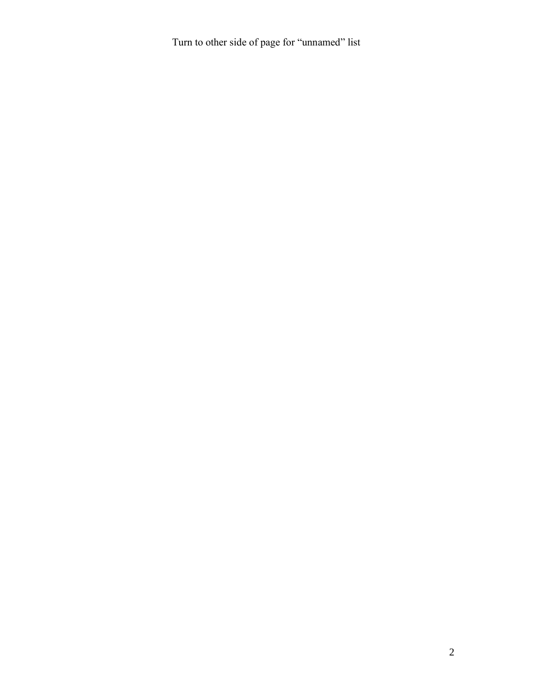Turn to other side of page for "unnamed" list